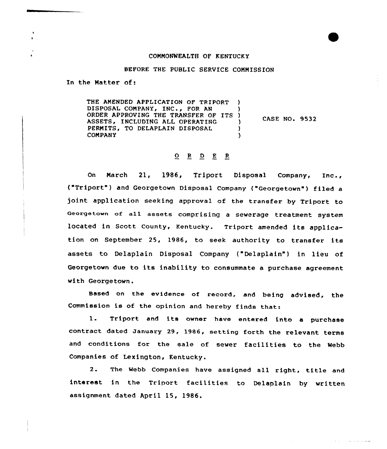## COMMONWEALTH OF KENTUCKY

## BEFORE THE PUBLIC SERVICE COMMISSION

In the Matter of:

THE AMENDED APPLICATION OF TRIPORT ) DISPOSAL COMPANY, INC., FOR AN ORDER APPROVING THE TRANSFER OF ITS )<br>ASSETS, INCLUDING ALL OPERATING ASSETS, INCLUDING ALL OPERATING )<br>PERMITS, TO DELAPLAIN DISPOSAL ) PERMITS, TO DELAPLAIN DISPOSAL  $\bigcup_{y}$ **COMPANY** CASE NO. 9532

## $Q$  R D E R

On March 21, 1986, Triport Disposal Company, Xnc., ("Triport") and Georgetown Disposal Company ("Georgetown" ) filed <sup>a</sup> joint application seeking approval of the transfer by Triport to Georgetown of all assets comprising <sup>a</sup> sewerage treatment system located in Scott County, Kentucky. Triport amended its application on September 25, 1986, to seek authority to transfer its assets to Delaplain Disposal Company {"Delaplain") in lieu of Georgetown due to its inability to consummate a purchase agreement with Georgetown.

Based on the evidence of record, and being advised, the Commission is of the opinion and hereby finds that:

1. Triport and its owner have entered into <sup>a</sup> purchase contract dated January 29, 1986, setting forth the relevant terms and conditions for the sale of sewer facilities to the Webb Companies of Lexington, Kentucky.

2. The Webb Companies have assigned all right, title and interest in the Triport facilities to Delaplain by written assignment dated April 15, 1986.

the contract of the contract and an